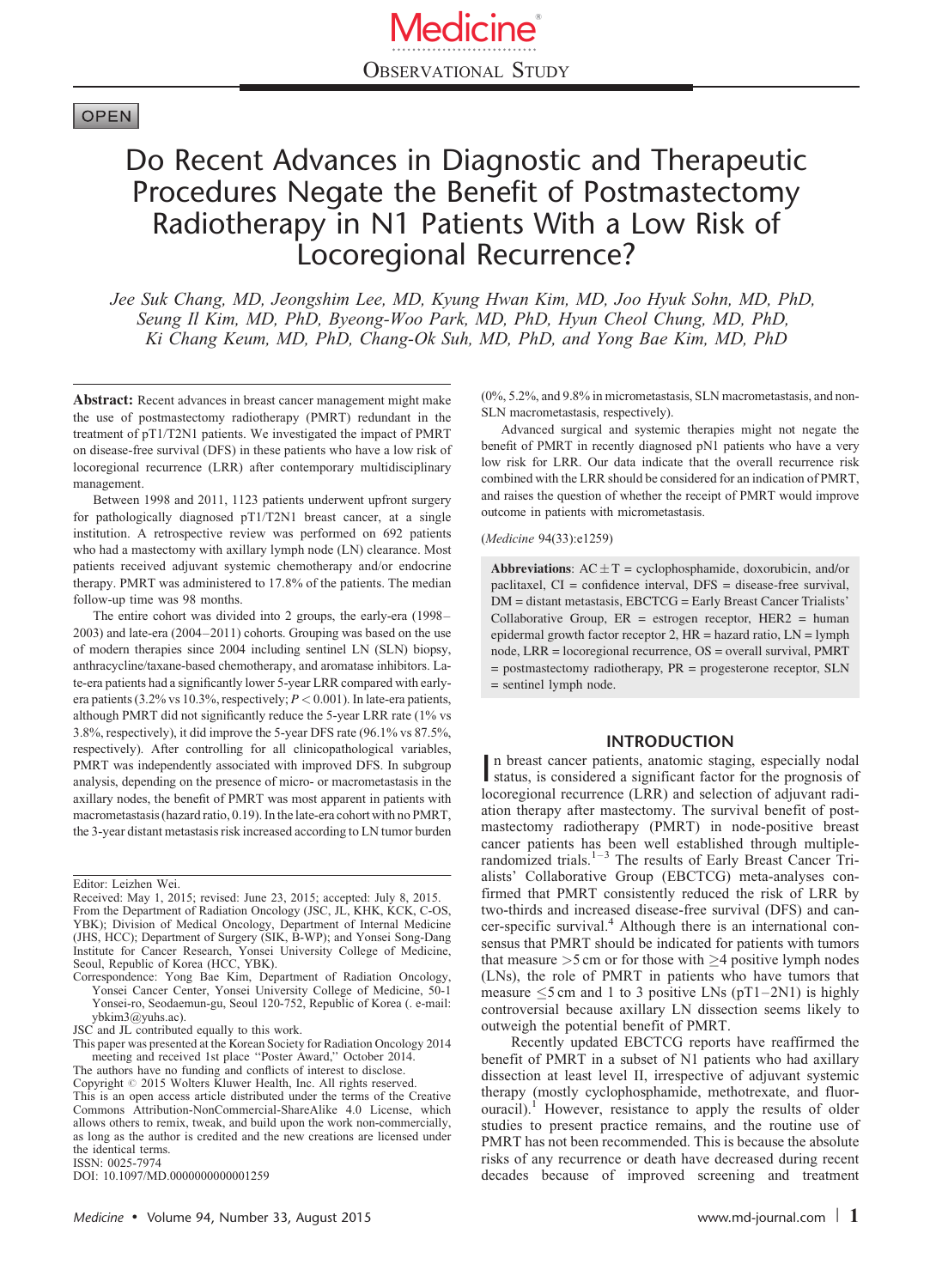# **OPEN**

# Do Recent Advances in Diagnostic and Therapeutic Procedures Negate the Benefit of Postmastectomy Radiotherapy in N1 Patients With a Low Risk of Locoregional Recurrence?

Jee Suk Chang, MD, Jeongshim Lee, MD, Kyung Hwan Kim, MD, Joo Hyuk Sohn, MD, PhD, Seung Il Kim, MD, PhD, Byeong-Woo Park, MD, PhD, Hyun Cheol Chung, MD, PhD, Ki Chang Keum, MD, PhD, Chang-Ok Suh, MD, PhD, and Yong Bae Kim, MD, PhD

Abstract: Recent advances in breast cancer management might make the use of postmastectomy radiotherapy (PMRT) redundant in the treatment of pT1/T2N1 patients. We investigated the impact of PMRT on disease-free survival (DFS) in these patients who have a low risk of locoregional recurrence (LRR) after contemporary multidisciplinary management.

Between 1998 and 2011, 1123 patients underwent upfront surgery for pathologically diagnosed pT1/T2N1 breast cancer, at a single institution. A retrospective review was performed on 692 patients who had a mastectomy with axillary lymph node (LN) clearance. Most patients received adjuvant systemic chemotherapy and/or endocrine therapy. PMRT was administered to 17.8% of the patients. The median follow-up time was 98 months.

The entire cohort was divided into 2 groups, the early-era (1998– 2003) and late-era (2004–2011) cohorts. Grouping was based on the use of modern therapies since 2004 including sentinel LN (SLN) biopsy, anthracycline/taxane-based chemotherapy, and aromatase inhibitors. Late-era patients had a significantly lower 5-year LRR compared with earlyera patients (3.2% vs 10.3%, respectively;  $P < 0.001$ ). In late-era patients, although PMRT did not significantly reduce the 5-year LRR rate (1% vs 3.8%, respectively), it did improve the 5-year DFS rate (96.1% vs 87.5%, respectively). After controlling for all clinicopathological variables, PMRT was independently associated with improved DFS. In subgroup analysis, depending on the presence of micro- or macrometastasis in the axillary nodes, the benefit of PMRT was most apparent in patients with macrometastasis (hazard ratio, 0.19). In the late-era cohort with no PMRT, the 3-year distant metastasis risk increased according to LN tumor burden

Editor: Leizhen Wei.

JSC and JL contributed equally to this work.

This paper was presented at the Korean Society for Radiation Oncology 2014

meeting and received 1st place "Poster Award," October 2014.<br>The authors have no funding and conflicts of interest to disclose.<br>Copyright © 2015 Wolters Kluwer Health, Inc. All rights reserved.

This is an open access article distributed under the terms of the Creative Commons Attribution-NonCommercial-ShareAlike 4.0 License, which allows others to remix, tweak, and build upon the work non-commercially, as long as the author is credited and the new creations are licensed under the identical terms.

ISSN: 0025-7974

DOI: [10.1097/MD.0000000000001259](http://dx.doi.org/10.1097/MD.0000000000001259)

(0%, 5.2%, and 9.8% in micrometastasis, SLN macrometastasis, and non-SLN macrometastasis, respectively).

Advanced surgical and systemic therapies might not negate the benefit of PMRT in recently diagnosed pN1 patients who have a very low risk for LRR. Our data indicate that the overall recurrence risk combined with the LRR should be considered for an indication of PMRT, and raises the question of whether the receipt of PMRT would improve outcome in patients with micrometastasis.

(Medicine 94(33):e1259)

Abbreviations:  $AC \pm T =$  cyclophosphamide, doxorubicin, and/or paclitaxel, CI = confidence interval, DFS = disease-free survival, DM = distant metastasis, EBCTCG = Early Breast Cancer Trialists' Collaborative Group,  $ER =$  estrogen receptor,  $HER2 =$  human epidermal growth factor receptor 2, HR = hazard ratio, LN = lymph node, LRR = locoregional recurrence, OS = overall survival, PMRT = postmastectomy radiotherapy, PR = progesterone receptor, SLN = sentinel lymph node.

# INTRODUCTION

In breast cancer patients, anatomic staging, especially nodal<br>status, is considered a significant factor for the prognosis of n breast cancer patients, anatomic staging, especially nodal locoregional recurrence (LRR) and selection of adjuvant radiation therapy after mastectomy. The survival benefit of postmastectomy radiotherapy (PMRT) in node-positive breast cancer patients has been well established through multiplerandomized trials.<sup>1-3</sup> The results of Early Breast Cancer Trialists' Collaborative Group (EBCTCG) meta-analyses confirmed that PMRT consistently reduced the risk of LRR by two-thirds and increased disease-free survival (DFS) and can-cer-specific survival.<sup>[4](#page-8-0)</sup> Although there is an international consensus that PMRT should be indicated for patients with tumors that measure  $>5$  cm or for those with  $\geq$ 4 positive lymph nodes (LNs), the role of PMRT in patients who have tumors that measure  $\leq$ 5 cm and 1 to 3 positive LNs (pT1–2N1) is highly controversial because axillary LN dissection seems likely to outweigh the potential benefit of PMRT.

Recently updated EBCTCG reports have reaffirmed the benefit of PMRT in a subset of N1 patients who had axillary dissection at least level II, irrespective of adjuvant systemic therapy (mostly cyclophosphamide, methotrexate, and fluor $ouracil$ ).<sup>1</sup> However, resistance to apply the results of older studies to present practice remains, and the routine use of PMRT has not been recommended. This is because the absolute risks of any recurrence or death have decreased during recent decades because of improved screening and treatment

Received: May 1, 2015; revised: June 23, 2015; accepted: July 8, 2015. From the Department of Radiation Oncology (JSC, JL, KHK, KCK, C-OS, YBK); Division of Medical Oncology, Department of Internal Medicine (JHS, HCC); Department of Surgery (SIK, B-WP); and Yonsei Song-Dang Institute for Cancer Research, Yonsei University College of Medicine, Seoul, Republic of Korea (HCC, YBK).

Correspondence: Yong Bae Kim, Department of Radiation Oncology, Yonsei Cancer Center, Yonsei University College of Medicine, 50-1 Yonsei-ro, Seodaemun-gu, Seoul 120-752, Republic of Korea (. e-mail: [ybkim3@yuhs.ac\)](mailto:ybkim3@yuhs.ac).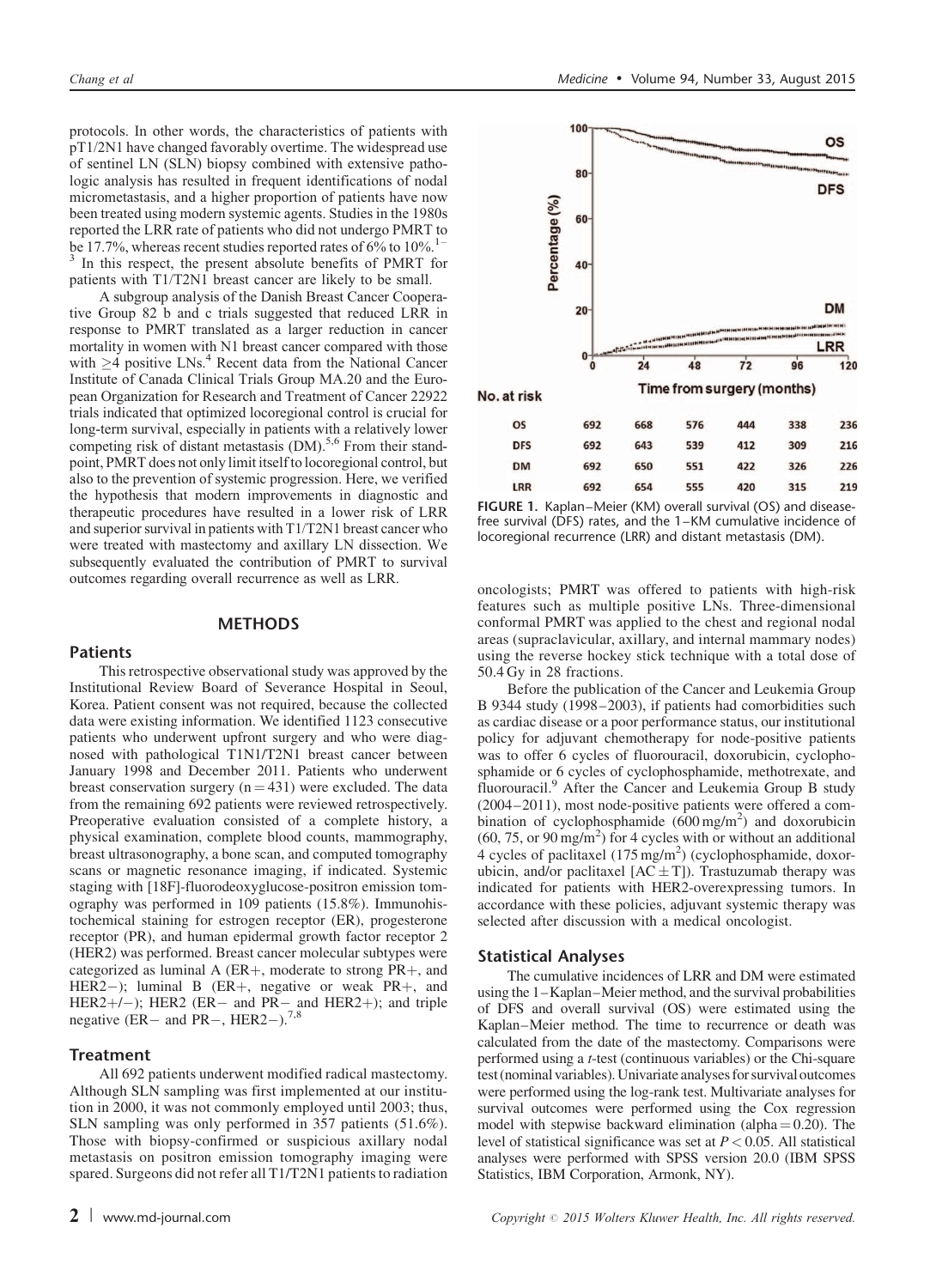<span id="page-1-0"></span>protocols. In other words, the characteristics of patients with pT1/2N1 have changed favorably overtime. The widespread use of sentinel LN (SLN) biopsy combined with extensive pathologic analysis has resulted in frequent identifications of nodal micrometastasis, and a higher proportion of patients have now been treated using modern systemic agents. Studies in the 1980s reported the LRR rate of patients who did not undergo PMRT to be 17.7%, whereas recent studies reported rates of  $6\%$  to  $10\%$ .<sup>1–1</sup> <sup>[3](#page-8-0)</sup> In this respect, the present absolute benefits of PMRT for patients with T1/T2N1 breast cancer are likely to be small.

A subgroup analysis of the Danish Breast Cancer Cooperative Group 82 b and c trials suggested that reduced LRR in response to PMRT translated as a larger reduction in cancer mortality in women with N1 breast cancer compared with those with  $\geq$ [4](#page-8-0) positive LNs.<sup>4</sup> Recent data from the National Cancer Institute of Canada Clinical Trials Group MA.20 and the European Organization for Research and Treatment of Cancer 22922 trials indicated that optimized locoregional control is crucial for long-term survival, especially in patients with a relatively lower competing risk of distant metastasis  $(DM)$ .<sup>[5,6](#page-8-0)</sup> From their standpoint, PMRT does not only limit itself to locoregional control, but also to the prevention of systemic progression. Here, we verified the hypothesis that modern improvements in diagnostic and therapeutic procedures have resulted in a lower risk of LRR and superior survival in patients with T1/T2N1 breast cancer who were treated with mastectomy and axillary LN dissection. We subsequently evaluated the contribution of PMRT to survival outcomes regarding overall recurrence as well as LRR.

#### **METHODS**

# Patients

This retrospective observational study was approved by the Institutional Review Board of Severance Hospital in Seoul, Korea. Patient consent was not required, because the collected data were existing information. We identified 1123 consecutive patients who underwent upfront surgery and who were diagnosed with pathological T1N1/T2N1 breast cancer between January 1998 and December 2011. Patients who underwent breast conservation surgery  $(n = 431)$  were excluded. The data from the remaining 692 patients were reviewed retrospectively. Preoperative evaluation consisted of a complete history, a physical examination, complete blood counts, mammography, breast ultrasonography, a bone scan, and computed tomography scans or magnetic resonance imaging, if indicated. Systemic staging with [18F]-fluorodeoxyglucose-positron emission tomography was performed in 109 patients (15.8%). Immunohistochemical staining for estrogen receptor (ER), progesterone receptor (PR), and human epidermal growth factor receptor 2 (HER2) was performed. Breast cancer molecular subtypes were categorized as luminal A ( $ER+$ , moderate to strong  $PR+$ , and HER2-); luminal B (ER+, negative or weak PR+, and HER2+/-); HER2 (ER- and PR- and HER2+); and triple negative (ER- and PR-, HER2-).<sup>[7,8](#page-8-0)</sup>

# **Treatment**

All 692 patients underwent modified radical mastectomy. Although SLN sampling was first implemented at our institution in 2000, it was not commonly employed until 2003; thus, SLN sampling was only performed in 357 patients (51.6%). Those with biopsy-confirmed or suspicious axillary nodal metastasis on positron emission tomography imaging were spared. Surgeons did not refer all T1/T2N1 patients to radiation



FIGURE 1. Kaplan–Meier (KM) overall survival (OS) and diseasefree survival (DFS) rates, and the 1–KM cumulative incidence of locoregional recurrence (LRR) and distant metastasis (DM).

oncologists; PMRT was offered to patients with high-risk features such as multiple positive LNs. Three-dimensional conformal PMRT was applied to the chest and regional nodal areas (supraclavicular, axillary, and internal mammary nodes) using the reverse hockey stick technique with a total dose of 50.4 Gy in 28 fractions.

Before the publication of the Cancer and Leukemia Group B 9344 study (1998–2003), if patients had comorbidities such as cardiac disease or a poor performance status, our institutional policy for adjuvant chemotherapy for node-positive patients was to offer 6 cycles of fluorouracil, doxorubicin, cyclophosphamide or 6 cycles of cyclophosphamide, methotrexate, and fluorouracil.[9](#page-8-0) After the Cancer and Leukemia Group B study (2004–2011), most node-positive patients were offered a combination of cyclophosphamide  $(600 \text{ mg/m}^2)$  and doxorubicin  $(60, 75, or 90 \text{ mg/m}^2)$  for 4 cycles with or without an additional 4 cycles of paclitaxel  $(175 \text{ mg/m}^2)$  (cyclophosphamide, doxorubicin, and/or paclitaxel  $[AC \pm T]$ ). Trastuzumab therapy was indicated for patients with HER2-overexpressing tumors. In accordance with these policies, adjuvant systemic therapy was selected after discussion with a medical oncologist.

# Statistical Analyses

The cumulative incidences of LRR and DM were estimated using the 1–Kaplan–Meier method, and the survival probabilities of DFS and overall survival (OS) were estimated using the Kaplan–Meier method. The time to recurrence or death was calculated from the date of the mastectomy. Comparisons were performed using a t-test (continuous variables) or the Chi-square test (nominal variables). Univariate analyses for survival outcomes were performed using the log-rank test. Multivariate analyses for survival outcomes were performed using the Cox regression model with stepwise backward elimination (alpha  $= 0.20$ ). The level of statistical significance was set at  $P < 0.05$ . All statistical analyses were performed with SPSS version 20.0 (IBM SPSS Statistics, IBM Corporation, Armonk, NY).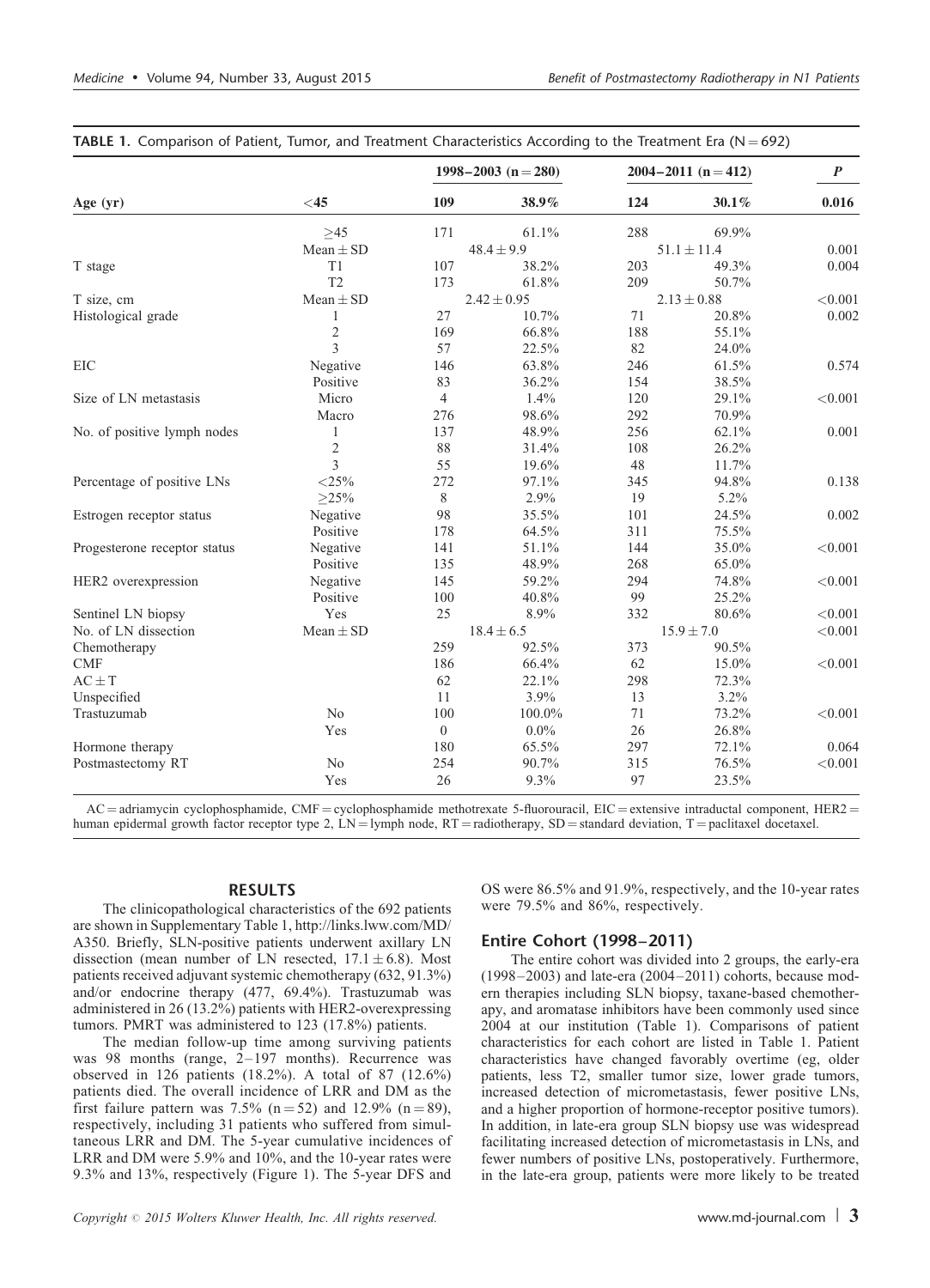|                              |                |                | 1998–2003 (n = 280) | $2004 - 2011$ (n = 412) | $\boldsymbol{P}$ |              |
|------------------------------|----------------|----------------|---------------------|-------------------------|------------------|--------------|
| Age $(yr)$                   | $<$ 45         | 109            | 38.9%               | 124                     | 30.1%            | 0.016        |
|                              | $\geq 45$      | 171            | 61.1%               | 288                     | 69.9%            |              |
|                              | $Mean \pm SD$  |                | $48.4 \pm 9.9$      |                         | $51.1 \pm 11.4$  | 0.001        |
| T stage                      | T1             | 107            | 38.2%               | 203                     | 49.3%            | 0.004        |
|                              | T <sub>2</sub> | 173            | 61.8%               | 209                     | 50.7%            |              |
| T size, cm                   | $Mean \pm SD$  |                | $2.42 \pm 0.95$     | $2.13 \pm 0.88$         |                  | < 0.001      |
| Histological grade           | 1              | 27             | 10.7%               | 71                      | 20.8%            | 0.002        |
|                              | $\overline{c}$ | 169            | 66.8%               | 188                     | 55.1%            |              |
|                              | 3              | 57             | 22.5%               | 82                      | 24.0%            |              |
| EIC                          | Negative       | 146            | 63.8%               | 246                     | 61.5%            | 0.574        |
|                              | Positive       | 83             | 36.2%               | 154                     | 38.5%            |              |
| Size of LN metastasis        | Micro          | $\overline{4}$ | 1.4%                | 120                     | 29.1%            | < 0.001      |
|                              | Macro          | 276            | 98.6%               | 292                     | 70.9%            |              |
| No. of positive lymph nodes  | 1              | 137            | 48.9%               | 256                     | 62.1%            | 0.001        |
|                              | $\overline{2}$ | 88             | 31.4%               | 108                     | 26.2%            |              |
|                              | 3              | 55             | 19.6%               | 48                      | 11.7%            |              |
| Percentage of positive LNs   | ${<}25\%$      | 272            | 97.1%               | 345                     | 94.8%            | 0.138        |
|                              | $\geq$ 25%     | 8              | 2.9%                | 19                      | 5.2%             |              |
| Estrogen receptor status     | Negative       | 98             | 35.5%               | 101                     | 24.5%            | 0.002        |
|                              | Positive       | 178            | 64.5%               | 311                     | 75.5%            |              |
| Progesterone receptor status | Negative       | 141            | 51.1%               | 144                     | 35.0%            | ${<}0.001$   |
|                              | Positive       | 135            | 48.9%               | 268                     | 65.0%            |              |
| HER2 overexpression          | Negative       | 145            | 59.2%               | 294                     | 74.8%            | < 0.001      |
|                              | Positive       | 100            | 40.8%               | 99                      | 25.2%            |              |
| Sentinel LN biopsy           | Yes            | 25             | 8.9%                | 332                     | 80.6%            | < 0.001      |
| No. of LN dissection         | Mean $\pm$ SD  |                | $18.4 \pm 6.5$      |                         | $15.9 \pm 7.0$   | < 0.001      |
| Chemotherapy                 |                | 259            | 92.5%               | 373                     | 90.5%            |              |
| <b>CMF</b>                   |                | 186            | 66.4%               | 62                      | 15.0%            | < 0.001      |
| $AC \pm T$                   |                | 62             | 22.1%               | 298                     | 72.3%            |              |
| Unspecified                  |                | 11             | 3.9%                | 13                      | 3.2%             |              |
| Trastuzumab                  | No             | 100            | 100.0%              | 71                      | 73.2%            | < 0.001      |
|                              | Yes            | $\overline{0}$ | $0.0\%$             | 26                      | 26.8%            |              |
| Hormone therapy              |                | 180            | 65.5%               | 297                     | 72.1%            | 0.064        |
| Postmastectomy RT            | No             | 254            | 90.7%               | 315                     | 76.5%            | $<\!\!0.001$ |
|                              | Yes            | 26             | 9.3%                | 97                      | 23.5%            |              |

**TABLE 1.** Comparison of Patient, Tumor, and Treatment Characteristics According to the Treatment Era ( $N = 692$ )

AC = adriamycin cyclophosphamide, CMF = cyclophosphamide methotrexate 5-fluorouracil, EIC = extensive intraductal component, HER2 = human epidermal growth factor receptor type 2, LN = lymph node, RT = radiotherapy, SD = standard deviation, T = paclitaxel docetaxel.

#### RESULTS

The clinicopathological characteristics of the 692 patients are shown in Supplementary Table 1, [http://links.lww.com/MD/](http://links.lww.com/MD/A350) [A350.](http://links.lww.com/MD/A350) Briefly, SLN-positive patients underwent axillary LN dissection (mean number of LN resected,  $17.1 \pm 6.8$ ). Most patients received adjuvant systemic chemotherapy (632, 91.3%) and/or endocrine therapy (477, 69.4%). Trastuzumab was administered in 26 (13.2%) patients with HER2-overexpressing tumors. PMRT was administered to 123 (17.8%) patients.

The median follow-up time among surviving patients was 98 months (range, 2–197 months). Recurrence was observed in 126 patients (18.2%). A total of 87 (12.6%) patients died. The overall incidence of LRR and DM as the first failure pattern was 7.5% (n = 52) and 12.9% (n = 89), respectively, including 31 patients who suffered from simultaneous LRR and DM. The 5-year cumulative incidences of LRR and DM were 5.9% and 10%, and the 10-year rates were 9.3% and 13%, respectively ([Figure 1](#page-1-0)). The 5-year DFS and

Copyright  $\degree$  2015 Wolters Kluwer Health, Inc. All rights reserved. www.md-journal.com | 3

OS were 86.5% and 91.9%, respectively, and the 10-year rates were 79.5% and 86%, respectively.

#### Entire Cohort (1998–2011)

The entire cohort was divided into 2 groups, the early-era (1998–2003) and late-era (2004–2011) cohorts, because modern therapies including SLN biopsy, taxane-based chemotherapy, and aromatase inhibitors have been commonly used since 2004 at our institution (Table 1). Comparisons of patient characteristics for each cohort are listed in Table 1. Patient characteristics have changed favorably overtime (eg, older patients, less T2, smaller tumor size, lower grade tumors, increased detection of micrometastasis, fewer positive LNs, and a higher proportion of hormone-receptor positive tumors). In addition, in late-era group SLN biopsy use was widespread facilitating increased detection of micrometastasis in LNs, and fewer numbers of positive LNs, postoperatively. Furthermore, in the late-era group, patients were more likely to be treated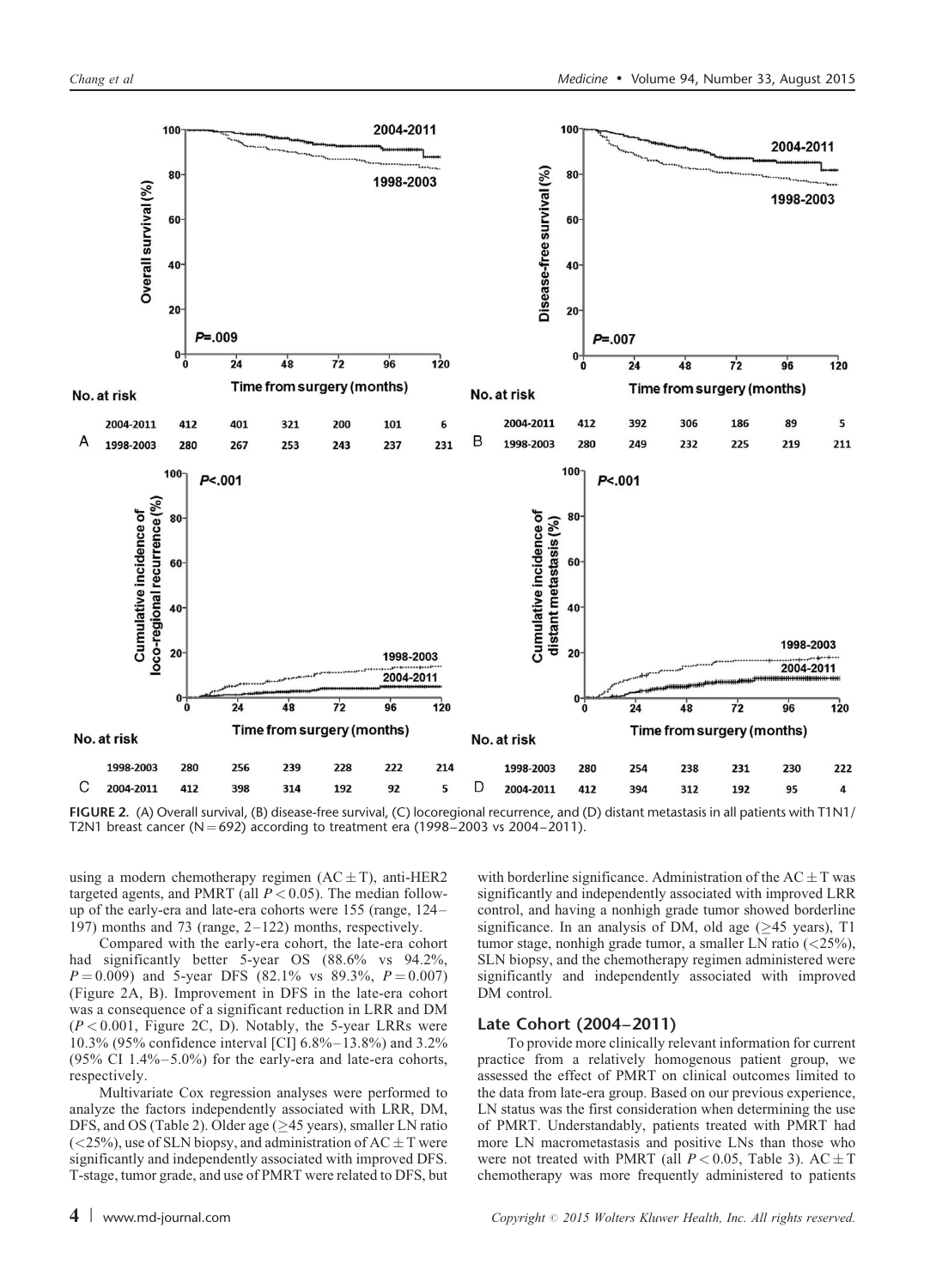

FIGURE 2. (A) Overall survival, (B) disease-free survival, (C) locoregional recurrence, and (D) distant metastasis in all patients with T1N1/ T2N1 breast cancer (N = 692) according to treatment era (1998–2003 vs 2004–2011).

using a modern chemotherapy regimen  $(AC \pm T)$ , anti-HER2 targeted agents, and PMRT (all  $P < 0.05$ ). The median followup of the early-era and late-era cohorts were 155 (range, 124– 197) months and 73 (range, 2–122) months, respectively.

Compared with the early-era cohort, the late-era cohort had significantly better 5-year OS (88.6% vs 94.2%,  $P = 0.009$ ) and 5-year DFS (82.1% vs 89.3%,  $P = 0.007$ ) (Figure 2A, B). Improvement in DFS in the late-era cohort was a consequence of a significant reduction in LRR and DM  $(P < 0.001$ , Figure 2C, D). Notably, the 5-year LRRs were 10.3% (95% confidence interval [CI] 6.8%–13.8%) and 3.2% (95% CI  $1.4\% - 5.0\%$ ) for the early-era and late-era cohorts, respectively.

Multivariate Cox regression analyses were performed to analyze the factors independently associated with LRR, DM, DFS, and OS [\(Table 2](#page-4-0)). Older age ( $\geq$ 45 years), smaller LN ratio  $\left($  <25%), use of SLN biopsy, and administration of AC  $\pm$  T were significantly and independently associated with improved DFS. T-stage, tumor grade, and use of PMRT were related to DFS, but

with borderline significance. Administration of the  $AC \pm T$  was significantly and independently associated with improved LRR control, and having a nonhigh grade tumor showed borderline significance. In an analysis of DM, old age  $(\geq 45$  years), T1 tumor stage, nonhigh grade tumor, a smaller LN ratio (<25%), SLN biopsy, and the chemotherapy regimen administered were significantly and independently associated with improved DM control.

# Late Cohort (2004–2011)

To provide more clinically relevant information for current practice from a relatively homogenous patient group, we assessed the effect of PMRT on clinical outcomes limited to the data from late-era group. Based on our previous experience, LN status was the first consideration when determining the use of PMRT. Understandably, patients treated with PMRT had more LN macrometastasis and positive LNs than those who were not treated with PMRT (all  $P < 0.05$ , [Table 3\)](#page-5-0). AC  $\pm$  T chemotherapy was more frequently administered to patients

4 | www.md-journal.com Copyright  $\odot$  2015 Wolters Kluwer Health, Inc. All rights reserved.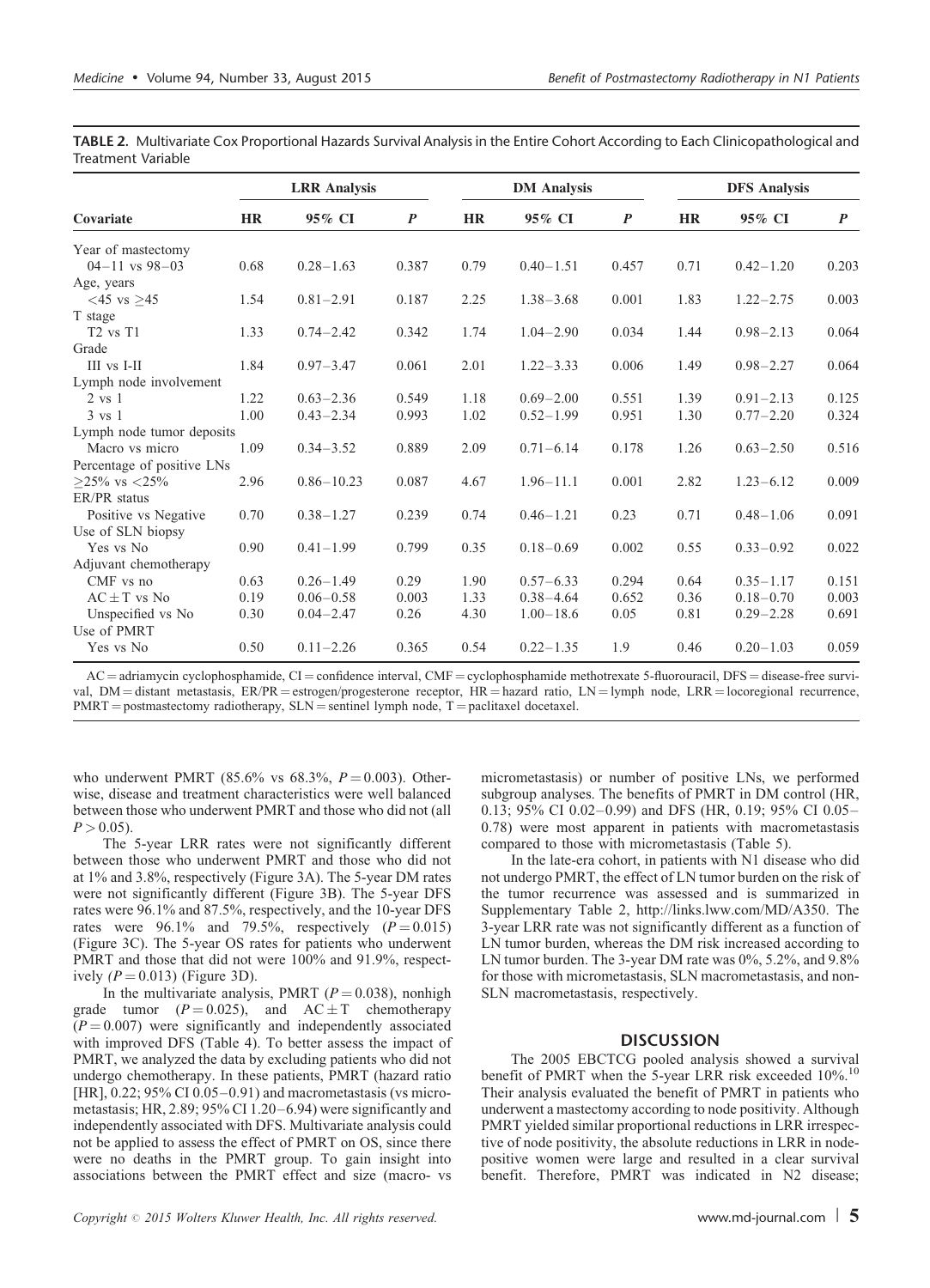|                            |           | <b>LRR</b> Analysis |                  |           | <b>DM</b> Analysis |                  |           | <b>DFS Analysis</b> |                  |  |
|----------------------------|-----------|---------------------|------------------|-----------|--------------------|------------------|-----------|---------------------|------------------|--|
| Covariate                  | <b>HR</b> | 95% CI              | $\boldsymbol{P}$ | <b>HR</b> | 95% CI             | $\boldsymbol{P}$ | <b>HR</b> | 95% CI              | $\boldsymbol{P}$ |  |
| Year of mastectomy         |           |                     |                  |           |                    |                  |           |                     |                  |  |
| $04 - 11$ vs $98 - 03$     | 0.68      | $0.28 - 1.63$       | 0.387            | 0.79      | $0.40 - 1.51$      | 0.457            | 0.71      | $0.42 - 1.20$       | 0.203            |  |
| Age, years                 |           |                     |                  |           |                    |                  |           |                     |                  |  |
| $<$ 45 vs >45              | 1.54      | $0.81 - 2.91$       | 0.187            | 2.25      | $1.38 - 3.68$      | 0.001            | 1.83      | $1.22 - 2.75$       | 0.003            |  |
| T stage                    |           |                     |                  |           |                    |                  |           |                     |                  |  |
| $T2$ vs $T1$               | 1.33      | $0.74 - 2.42$       | 0.342            | 1.74      | $1.04 - 2.90$      | 0.034            | 1.44      | $0.98 - 2.13$       | 0.064            |  |
| Grade                      |           |                     |                  |           |                    |                  |           |                     |                  |  |
| III vs I-II                | 1.84      | $0.97 - 3.47$       | 0.061            | 2.01      | $1.22 - 3.33$      | 0.006            | 1.49      | $0.98 - 2.27$       | 0.064            |  |
| Lymph node involvement     |           |                     |                  |           |                    |                  |           |                     |                  |  |
| $2 \text{ vs } 1$          | 1.22      | $0.63 - 2.36$       | 0.549            | 1.18      | $0.69 - 2.00$      | 0.551            | 1.39      | $0.91 - 2.13$       | 0.125            |  |
| 3 vs 1                     | 1.00      | $0.43 - 2.34$       | 0.993            | 1.02      | $0.52 - 1.99$      | 0.951            | 1.30      | $0.77 - 2.20$       | 0.324            |  |
| Lymph node tumor deposits  |           |                     |                  |           |                    |                  |           |                     |                  |  |
| Macro vs micro             | 1.09      | $0.34 - 3.52$       | 0.889            | 2.09      | $0.71 - 6.14$      | 0.178            | 1.26      | $0.63 - 2.50$       | 0.516            |  |
| Percentage of positive LNs |           |                     |                  |           |                    |                  |           |                     |                  |  |
| $>25\%$ vs $<25\%$         | 2.96      | $0.86 - 10.23$      | 0.087            | 4.67      | $1.96 - 11.1$      | 0.001            | 2.82      | $1.23 - 6.12$       | 0.009            |  |
| ER/PR status               |           |                     |                  |           |                    |                  |           |                     |                  |  |
| Positive vs Negative       | 0.70      | $0.38 - 1.27$       | 0.239            | 0.74      | $0.46 - 1.21$      | 0.23             | 0.71      | $0.48 - 1.06$       | 0.091            |  |
| Use of SLN biopsy          |           |                     |                  |           |                    |                  |           |                     |                  |  |
| Yes vs No                  | 0.90      | $0.41 - 1.99$       | 0.799            | 0.35      | $0.18 - 0.69$      | 0.002            | 0.55      | $0.33 - 0.92$       | 0.022            |  |
| Adjuvant chemotherapy      |           |                     |                  |           |                    |                  |           |                     |                  |  |
| CMF vs no                  | 0.63      | $0.26 - 1.49$       | 0.29             | 1.90      | $0.57 - 6.33$      | 0.294            | 0.64      | $0.35 - 1.17$       | 0.151            |  |
| $AC \pm T$ vs No           | 0.19      | $0.06 - 0.58$       | 0.003            | 1.33      | $0.38 - 4.64$      | 0.652            | 0.36      | $0.18 - 0.70$       | 0.003            |  |
| Unspecified vs No          | 0.30      | $0.04 - 2.47$       | 0.26             | 4.30      | $1.00 - 18.6$      | 0.05             | 0.81      | $0.29 - 2.28$       | 0.691            |  |
| Use of PMRT                |           |                     |                  |           |                    |                  |           |                     |                  |  |
| Yes vs No                  | 0.50      | $0.11 - 2.26$       | 0.365            | 0.54      | $0.22 - 1.35$      | 1.9              | 0.46      | $0.20 - 1.03$       | 0.059            |  |

<span id="page-4-0"></span>TABLE 2. Multivariate Cox Proportional Hazards Survival Analysis in the Entire Cohort According to Each Clinicopathological and Treatment Variable

 $AC =$  adriamycin cyclophosphamide,  $CI =$  confidence interval,  $CMF =$  cyclophosphamide methotrexate 5-fluorouracil, DFS = disease-free survival,  $DM =$  distant metastasis,  $ER/PR =$  estrogen/progesterone receptor,  $HR =$  hazard ratio,  $LN =$  lymph node,  $LRR =$  locoregional recurrence,  $PMRT =$  postmastectomy radiotherapy,  $SLN =$  sentinel lymph node,  $T =$  paclitaxel docetaxel.

who underwent PMRT (85.6% vs 68.3%,  $P = 0.003$ ). Otherwise, disease and treatment characteristics were well balanced between those who underwent PMRT and those who did not (all  $P > 0.05$ ).

The 5-year LRR rates were not significantly different between those who underwent PMRT and those who did not at 1% and 3.8%, respectively ([Figure 3A](#page-6-0)). The 5-year DM rates were not significantly different [\(Figure 3B](#page-6-0)). The 5-year DFS rates were 96.1% and 87.5%, respectively, and the 10-year DFS rates were  $96.1\%$  and 79.5%, respectively  $(P = 0.015)$ ([Figure 3C](#page-6-0)). The 5-year OS rates for patients who underwent PMRT and those that did not were 100% and 91.9%, respectively  $(P = 0.013)$  [\(Figure 3](#page-6-0)D).

In the multivariate analysis, PMRT ( $P = 0.038$ ), nonhigh grade tumor ( $P = 0.025$ ), and  $AC \pm T$  chemotherapy  $(P = 0.007)$  were significantly and independently associated with improved DFS [\(Table 4](#page-7-0)). To better assess the impact of PMRT, we analyzed the data by excluding patients who did not undergo chemotherapy. In these patients, PMRT (hazard ratio [HR], 0.22; 95% CI 0.05–0.91) and macrometastasis (vs micrometastasis; HR, 2.89; 95% CI 1.20–6.94) were significantly and independently associated with DFS. Multivariate analysis could not be applied to assess the effect of PMRT on OS, since there were no deaths in the PMRT group. To gain insight into associations between the PMRT effect and size (macro- vs

micrometastasis) or number of positive LNs, we performed subgroup analyses. The benefits of PMRT in DM control (HR, 0.13; 95% CI 0.02–0.99) and DFS (HR, 0.19; 95% CI 0.05– 0.78) were most apparent in patients with macrometastasis compared to those with micrometastasis [\(Table 5](#page-7-0)).

In the late-era cohort, in patients with N1 disease who did not undergo PMRT, the effect of LN tumor burden on the risk of the tumor recurrence was assessed and is summarized in Supplementary Table 2,<http://links.lww.com/MD/A350>. The 3-year LRR rate was not significantly different as a function of LN tumor burden, whereas the DM risk increased according to LN tumor burden. The 3-year DM rate was 0%, 5.2%, and 9.8% for those with micrometastasis, SLN macrometastasis, and non-SLN macrometastasis, respectively.

# **DISCUSSION**

The 2005 EBCTCG pooled analysis showed a survival benefit of PMRT when the 5-year LRR risk exceeded 10%.<sup>10</sup> Their analysis evaluated the benefit of PMRT in patients who underwent a mastectomy according to node positivity. Although PMRT yielded similar proportional reductions in LRR irrespective of node positivity, the absolute reductions in LRR in nodepositive women were large and resulted in a clear survival benefit. Therefore, PMRT was indicated in N2 disease;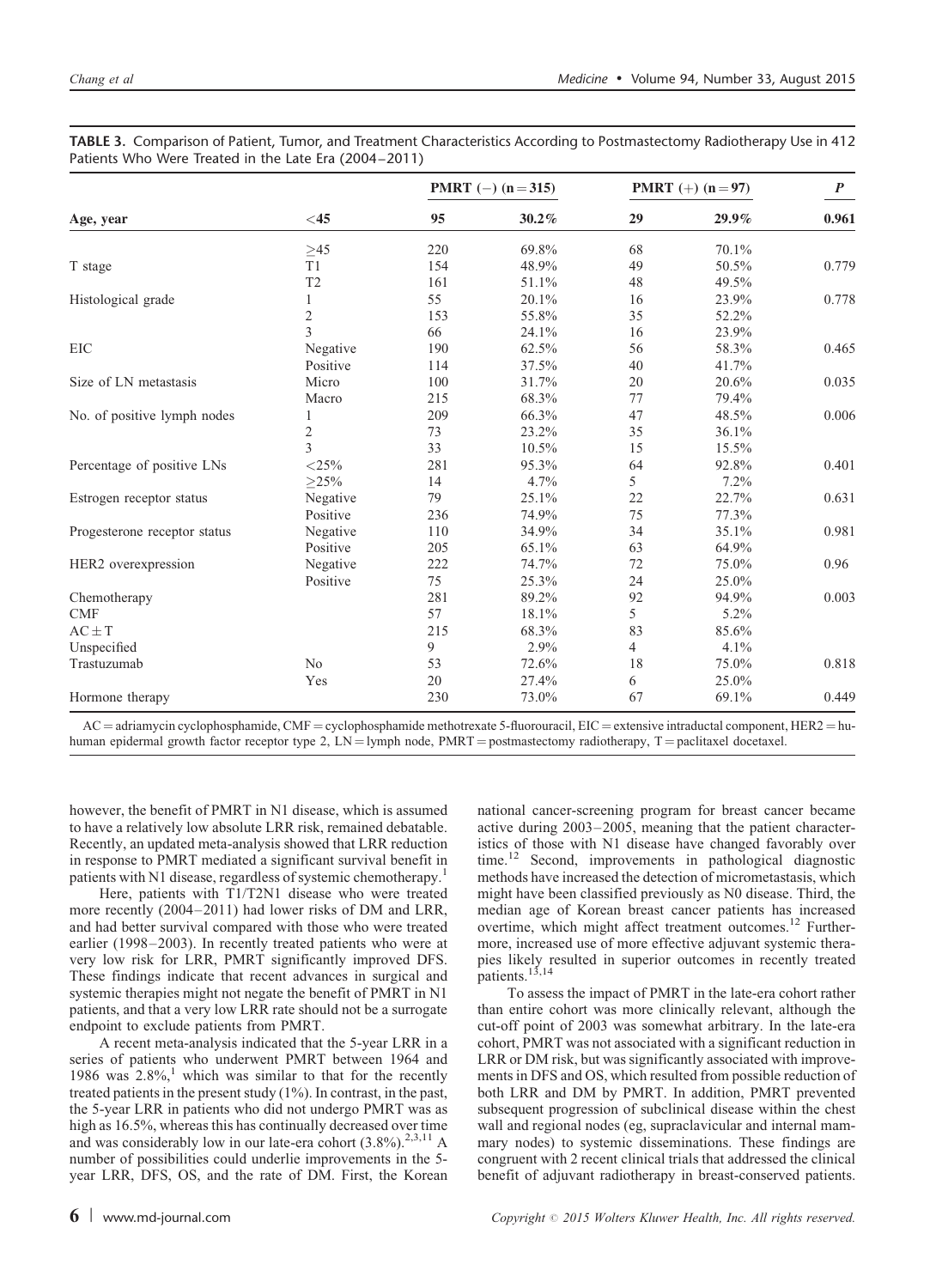|                              | $<$ 45         | <b>PMRT</b> $(-)$ $(n=315)$ |       | <b>PMRT</b> (+) $(n = 97)$ |          | $\boldsymbol{P}$ |  |
|------------------------------|----------------|-----------------------------|-------|----------------------------|----------|------------------|--|
| Age, year                    |                | 95                          | 30.2% | 29                         | $29.9\%$ | 0.961            |  |
|                              | ${\geq}45$     | 220                         | 69.8% | 68                         | 70.1%    |                  |  |
| T stage                      | T1             | 154                         | 48.9% | 49                         | 50.5%    | 0.779            |  |
|                              | T <sub>2</sub> | 161                         | 51.1% | 48                         | 49.5%    |                  |  |
| Histological grade           | 1              | 55                          | 20.1% | 16                         | 23.9%    | 0.778            |  |
|                              | $\overline{c}$ | 153                         | 55.8% | 35                         | 52.2%    |                  |  |
|                              | 3              | 66                          | 24.1% | 16                         | 23.9%    |                  |  |
| EIC                          | Negative       | 190                         | 62.5% | 56                         | 58.3%    | 0.465            |  |
|                              | Positive       | 114                         | 37.5% | 40                         | 41.7%    |                  |  |
| Size of LN metastasis        | Micro          | 100                         | 31.7% | 20                         | 20.6%    | 0.035            |  |
|                              | Macro          | 215                         | 68.3% | 77                         | 79.4%    |                  |  |
| No. of positive lymph nodes  |                | 209                         | 66.3% | 47                         | 48.5%    | 0.006            |  |
|                              | $\overline{c}$ | 73                          | 23.2% | 35                         | 36.1%    |                  |  |
|                              | 3              | 33                          | 10.5% | 15                         | 15.5%    |                  |  |
| Percentage of positive LNs   | ${<}25\%$      | 281                         | 95.3% | 64                         | 92.8%    | 0.401            |  |
|                              | $>25\%$        | 14                          | 4.7%  | 5                          | 7.2%     |                  |  |
| Estrogen receptor status     | Negative       | 79                          | 25.1% | 22                         | 22.7%    | 0.631            |  |
|                              | Positive       | 236                         | 74.9% | 75                         | 77.3%    |                  |  |
| Progesterone receptor status | Negative       | 110                         | 34.9% | 34                         | 35.1%    | 0.981            |  |
|                              | Positive       | 205                         | 65.1% | 63                         | 64.9%    |                  |  |
| HER2 overexpression          | Negative       | 222                         | 74.7% | 72                         | 75.0%    | 0.96             |  |
|                              | Positive       | 75                          | 25.3% | 24                         | 25.0%    |                  |  |
| Chemotherapy                 |                | 281                         | 89.2% | 92                         | 94.9%    | 0.003            |  |
| <b>CMF</b>                   |                | 57                          | 18.1% | 5                          | 5.2%     |                  |  |
| $AC \pm T$                   |                | 215                         | 68.3% | 83                         | 85.6%    |                  |  |
| Unspecified                  |                | 9                           | 2.9%  | 4                          | 4.1%     |                  |  |
| Trastuzumab                  | No             | 53                          | 72.6% | 18                         | 75.0%    | 0.818            |  |
|                              | Yes            | 20                          | 27.4% | 6                          | 25.0%    |                  |  |
| Hormone therapy              |                | 230                         | 73.0% | 67                         | 69.1%    | 0.449            |  |

<span id="page-5-0"></span>TABLE 3. Comparison of Patient, Tumor, and Treatment Characteristics According to Postmastectomy Radiotherapy Use in 412 Patients Who Were Treated in the Late Era (2004–2011)

 $AC =$  adriamycin cyclophosphamide, CMF = cyclophosphamide methotrexate 5-fluorouracil, EIC = extensive intraductal component, HER2 = huhuman epidermal growth factor receptor type 2,  $LN =$ lymph node,  $PMRT =$  postmastectomy radiotherapy,  $T =$  paclitaxel docetaxel.

however, the benefit of PMRT in N1 disease, which is assumed to have a relatively low absolute LRR risk, remained debatable. Recently, an updated meta-analysis showed that LRR reduction in response to PMRT mediated a significant survival benefit in patients with N[1](#page-8-0) disease, regardless of systemic chemotherapy.

Here, patients with T1/T2N1 disease who were treated more recently (2004–2011) had lower risks of DM and LRR, and had better survival compared with those who were treated earlier (1998–2003). In recently treated patients who were at very low risk for LRR, PMRT significantly improved DFS. These findings indicate that recent advances in surgical and systemic therapies might not negate the benefit of PMRT in N1 patients, and that a very low LRR rate should not be a surrogate endpoint to exclude patients from PMRT.

A recent meta-analysis indicated that the 5-year LRR in a series of patients who underwent PMRT between 1964 and [1](#page-8-0)986 was  $2.8\%$ ,<sup>1</sup> which was similar to that for the recently treated patients in the present study (1%). In contrast, in the past, the 5-year LRR in patients who did not undergo PMRT was as high as 16.5%, whereas this has continually decreased over time and was considerably low in our late-era cohort  $(3.8\%)$ <sup>[2,3,11](#page-8-0)</sup> A number of possibilities could underlie improvements in the 5 year LRR, DFS, OS, and the rate of DM. First, the Korean national cancer-screening program for breast cancer became active during 2003–2005, meaning that the patient characteristics of those with N1 disease have changed favorably over time.[12](#page-8-0) Second, improvements in pathological diagnostic methods have increased the detection of micrometastasis, which might have been classified previously as N0 disease. Third, the median age of Korean breast cancer patients has increased overtime, which might affect treatment outcomes.<sup>[12](#page-8-0)</sup> Furthermore, increased use of more effective adjuvant systemic therapies likely resulted in superior outcomes in recently treated patients.<sup>[13,14](#page-8-0)</sup>

To assess the impact of PMRT in the late-era cohort rather than entire cohort was more clinically relevant, although the cut-off point of 2003 was somewhat arbitrary. In the late-era cohort, PMRT was not associated with a significant reduction in LRR or DM risk, but was significantly associated with improvements in DFS and OS, which resulted from possible reduction of both LRR and DM by PMRT. In addition, PMRT prevented subsequent progression of subclinical disease within the chest wall and regional nodes (eg, supraclavicular and internal mammary nodes) to systemic disseminations. These findings are congruent with 2 recent clinical trials that addressed the clinical benefit of adjuvant radiotherapy in breast-conserved patients.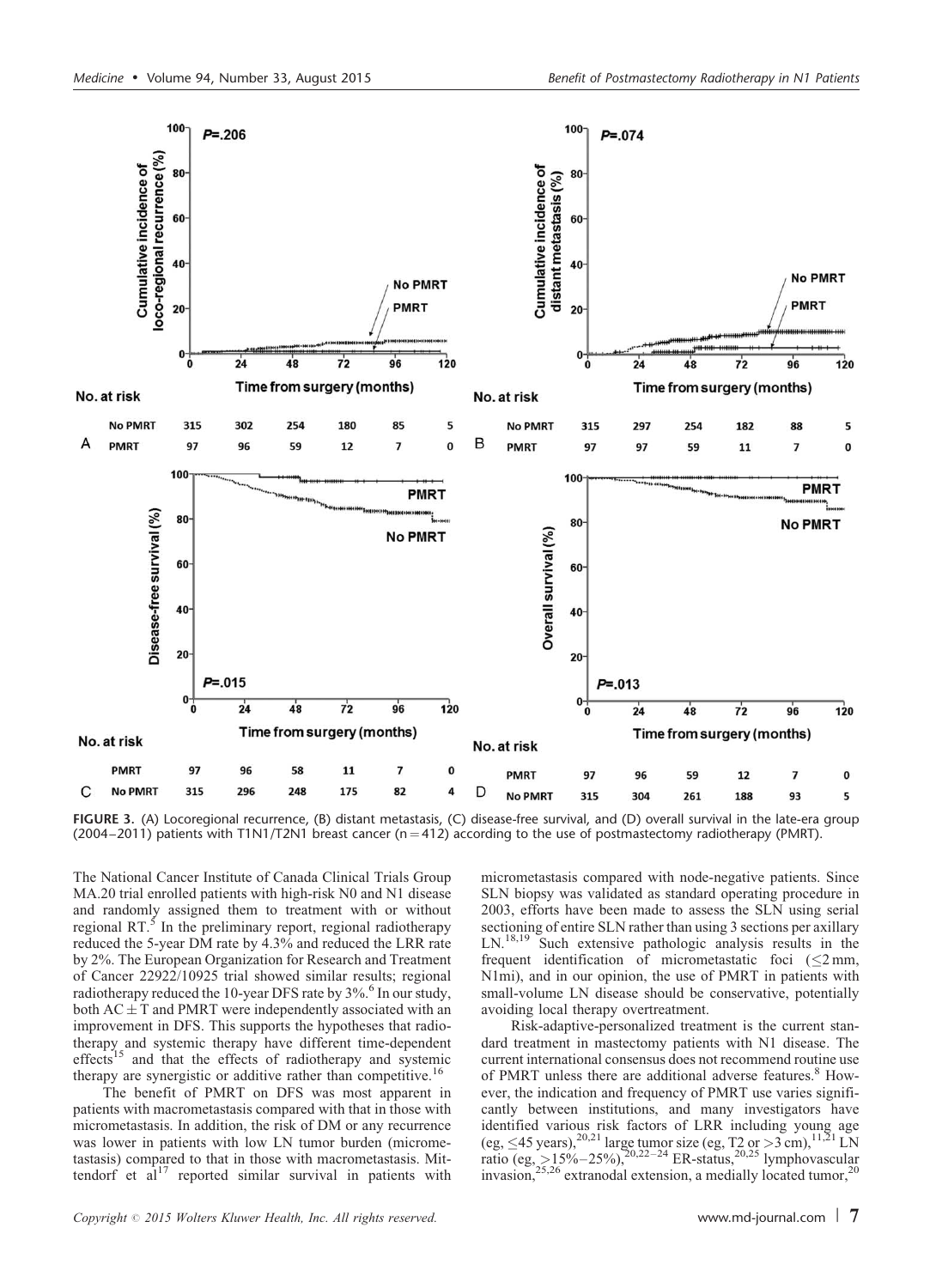<span id="page-6-0"></span>

FIGURE 3. (A) Locoregional recurrence, (B) distant metastasis, (C) disease-free survival, and (D) overall survival in the late-era group  $(2004–2011)$  patients with T1N1/T2N1 breast cancer (n = 412) according to the use of postmastectomy radiotherapy (PMRT).

The National Cancer Institute of Canada Clinical Trials Group MA.20 trial enrolled patients with high-risk N0 and N1 disease and randomly assigned them to treatment with or without regional  $RT$ <sup>[5](#page-8-0)</sup>. In the preliminary report, regional radiotherapy reduced the 5-year DM rate by 4.3% and reduced the LRR rate by 2%. The European Organization for Research and Treatment of Cancer 22922/10925 trial showed similar results; regional radiotherapy reduced the 10-year DFS rate by 3%.<sup>6</sup> In our study, both  $AC \pm T$  and PMRT were independently associated with an improvement in DFS. This supports the hypotheses that radiotherapy and systemic therapy have different time-dependent effects<sup>[15](#page-8-0)</sup> and that the effects of radiotherapy and systemic therapy are synergistic or additive rather than competitive.[16](#page-8-0)

The benefit of PMRT on DFS was most apparent in patients with macrometastasis compared with that in those with micrometastasis. In addition, the risk of DM or any recurrence was lower in patients with low LN tumor burden (micrometastasis) compared to that in those with macrometastasis. Mittendorf et  $al^{17}$  $al^{17}$  $al^{17}$  reported similar survival in patients with

micrometastasis compared with node-negative patients. Since SLN biopsy was validated as standard operating procedure in 2003, efforts have been made to assess the SLN using serial sectioning of entire SLN rather than using 3 sections per axillary LN.<sup>18,19</sup> Such extensive pathologic analysis results in the Such extensive pathologic analysis results in the frequent identification of micrometastatic foci  $\leq 2 \text{ mm}$ , N1mi), and in our opinion, the use of PMRT in patients with small-volume LN disease should be conservative, potentially avoiding local therapy overtreatment.

Risk-adaptive-personalized treatment is the current standard treatment in mastectomy patients with N1 disease. The current international consensus does not recommend routine use of PMRT unless there are additional adverse features.<sup>8</sup> However, the indication and frequency of PMRT use varies significantly between institutions, and many investigators have identified various risk factors of LRR including young age (eg,  $\leq 45$  years),<sup>[20,21](#page-8-0)</sup> large tumor size (eg, T2 or >3 cm),<sup>11,21</sup> LN ratio (eg, >15%–25%),<sup>20,22–24</sup> ER-status,<sup>[20,25](#page-8-0)</sup> lymphovascular invasion,<sup>[25,26](#page-8-0)</sup> extranodal extension, a medially located tumor,<sup>20</sup>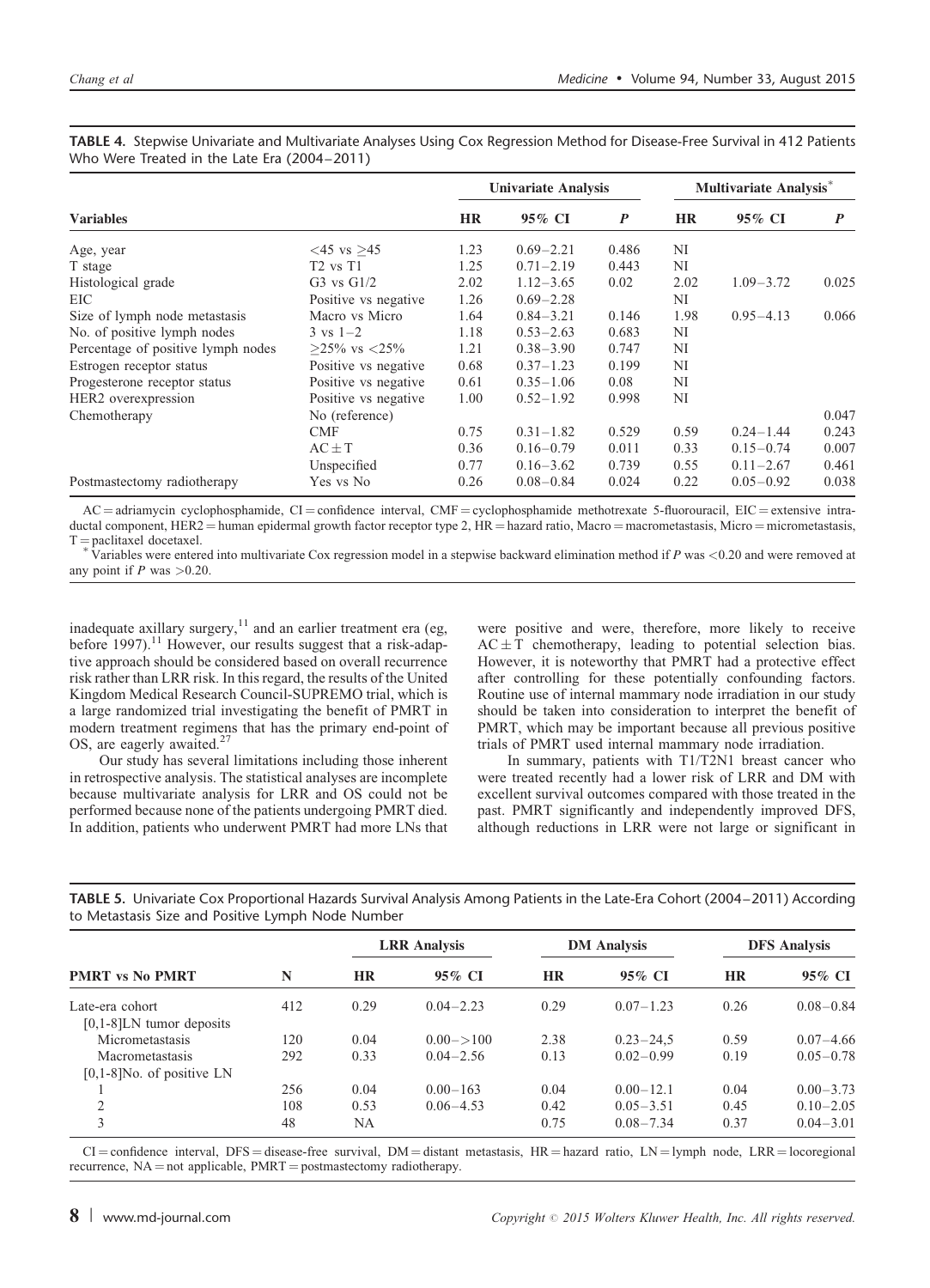|                                    |                      | <b>Univariate Analysis</b> |               |                  | Multivariate Analysis <sup>*</sup> |               |       |
|------------------------------------|----------------------|----------------------------|---------------|------------------|------------------------------------|---------------|-------|
| <b>Variables</b>                   |                      |                            | 95% CI        | $\boldsymbol{P}$ | <b>HR</b>                          | 95% CI        | P     |
| Age, year                          | $<$ 45 vs >45        | 1.23                       | $0.69 - 2.21$ | 0.486            | NI                                 |               |       |
| T stage                            | $T2$ vs $T1$         | 1.25                       | $0.71 - 2.19$ | 0.443            | NI                                 |               |       |
| Histological grade                 | $G3$ vs $G1/2$       | 2.02                       | $1.12 - 3.65$ | 0.02             | 2.02                               | $1.09 - 3.72$ | 0.025 |
| EIC                                | Positive vs negative | 1.26                       | $0.69 - 2.28$ |                  | NI                                 |               |       |
| Size of lymph node metastasis      | Macro vs Micro       | 1.64                       | $0.84 - 3.21$ | 0.146            | 1.98                               | $0.95 - 4.13$ | 0.066 |
| No. of positive lymph nodes        | $3 \text{ vs } 1-2$  | 1.18                       | $0.53 - 2.63$ | 0.683            | NI                                 |               |       |
| Percentage of positive lymph nodes | $>25\%$ vs $<25\%$   | 1.21                       | $0.38 - 3.90$ | 0.747            | NI                                 |               |       |
| Estrogen receptor status           | Positive vs negative | 0.68                       | $0.37 - 1.23$ | 0.199            | NI                                 |               |       |
| Progesterone receptor status       | Positive vs negative | 0.61                       | $0.35 - 1.06$ | 0.08             | NI                                 |               |       |
| HER <sub>2</sub> overexpression    | Positive vs negative | 1.00                       | $0.52 - 1.92$ | 0.998            | NI                                 |               |       |
| Chemotherapy                       | No (reference)       |                            |               |                  |                                    |               | 0.047 |
|                                    | <b>CMF</b>           | 0.75                       | $0.31 - 1.82$ | 0.529            | 0.59                               | $0.24 - 1.44$ | 0.243 |
|                                    | $AC \pm T$           | 0.36                       | $0.16 - 0.79$ | 0.011            | 0.33                               | $0.15 - 0.74$ | 0.007 |
|                                    | Unspecified          | 0.77                       | $0.16 - 3.62$ | 0.739            | 0.55                               | $0.11 - 2.67$ | 0.461 |
| Postmastectomy radiotherapy        | Yes vs No            | 0.26                       | $0.08 - 0.84$ | 0.024            | 0.22                               | $0.05 - 0.92$ | 0.038 |

<span id="page-7-0"></span>TABLE 4. Stepwise Univariate and Multivariate Analyses Using Cox Regression Method for Disease-Free Survival in 412 Patients Who Were Treated in the Late Era (2004–2011)

 $AC =$ adriamycin cyclophosphamide,  $CI =$ confidence interval,  $CMF =$ cyclophosphamide methotrexate 5-fluorouracil,  $EIC =$ extensive intraductal component, HER2 = human epidermal growth factor receptor type 2, HR = hazard ratio, Macro = macrometastasis, Micro = micrometastasis, T = paclitaxel docetaxel.<br>
<sup>\*</sup> Variables were entered into multivariate Cox regression model in a stepwise backward elimination method if P was <0.20 and were removed at  $\overline{V}$ 

any point if  $P$  was  $>0.20$ .

inadequate axillary surgery, $11$  and an earlier treatment era (eg, before 1997).<sup>[11](#page-8-0)</sup> However, our results suggest that a risk-adaptive approach should be considered based on overall recurrence risk rather than LRR risk. In this regard, the results of the United Kingdom Medical Research Council-SUPREMO trial, which is a large randomized trial investigating the benefit of PMRT in modern treatment regimens that has the primary end-point of OS, are eagerly awaited.<sup>[27](#page-8-0)</sup>

Our study has several limitations including those inherent in retrospective analysis. The statistical analyses are incomplete because multivariate analysis for LRR and OS could not be performed because none of the patients undergoing PMRT died. In addition, patients who underwent PMRT had more LNs that were positive and were, therefore, more likely to receive  $AC \pm T$  chemotherapy, leading to potential selection bias. However, it is noteworthy that PMRT had a protective effect after controlling for these potentially confounding factors. Routine use of internal mammary node irradiation in our study should be taken into consideration to interpret the benefit of PMRT, which may be important because all previous positive trials of PMRT used internal mammary node irradiation.

In summary, patients with T1/T2N1 breast cancer who were treated recently had a lower risk of LRR and DM with excellent survival outcomes compared with those treated in the past. PMRT significantly and independently improved DFS, although reductions in LRR were not large or significant in

TABLE 5. Univariate Cox Proportional Hazards Survival Analysis Among Patients in the Late-Era Cohort (2004–2011) According to Metastasis Size and Positive Lymph Node Number

| <b>PMRT</b> vs No PMRT                          | N   | <b>LRR</b> Analysis |                | <b>DM</b> Analysis |               | <b>DFS</b> Analysis |               |
|-------------------------------------------------|-----|---------------------|----------------|--------------------|---------------|---------------------|---------------|
|                                                 |     | <b>HR</b>           | 95% CI         | <b>HR</b>          | 95% CI        | <b>HR</b>           | 95% CI        |
| Late-era cohort<br>$[0,1-8]$ LN tumor deposits  | 412 | 0.29                | $0.04 - 2.23$  | 0.29               | $0.07 - 1.23$ | 0.26                | $0.08 - 0.84$ |
| Micrometastasis                                 | 120 | 0.04                | $0.00 - > 100$ | 2.38               | $0.23 - 24.5$ | 0.59                | $0.07 - 4.66$ |
| Macrometastasis<br>$[0,1-8]$ No. of positive LN | 292 | 0.33                | $0.04 - 2.56$  | 0.13               | $0.02 - 0.99$ | 0.19                | $0.05 - 0.78$ |
|                                                 | 256 | 0.04                | $0.00 - 163$   | 0.04               | $0.00 - 12.1$ | 0.04                | $0.00 - 3.73$ |
| $\mathfrak{D}$                                  | 108 | 0.53                | $0.06 - 4.53$  | 0.42               | $0.05 - 3.51$ | 0.45                | $0.10 - 2.05$ |
| 3                                               | 48  | NA                  |                | 0.75               | $0.08 - 7.34$ | 0.37                | $0.04 - 3.01$ |

 $CI =$ confidence interval, DFS = disease-free survival, DM = distant metastasis, HR = hazard ratio, LN = lymph node, LRR = locoregional recurrence,  $NA = not applicable$ ,  $PMRT = postmaster$  applicable,  $PMRT = postmaster$